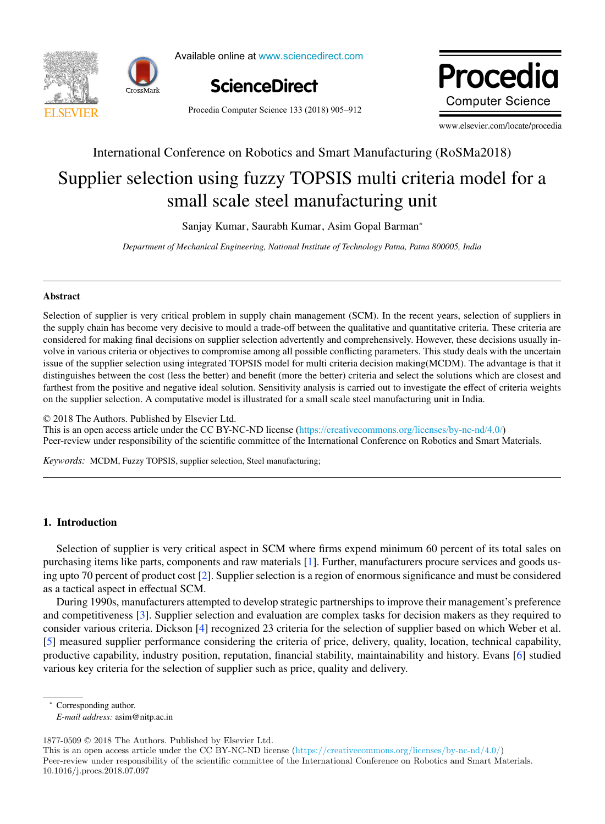

Available online at www.sciencedirect.com Available online at www.sciencedirect.com Available online at www.sciencedirect.com



Procedia Computer Science 133 (2018) 905-912

Procedia **Computer Science** 

www.elsevier.com/locate/procedia www.elsevier.com/locate/procedia

# International Conference on Robotics and Smart Manufacturing (RoSMa2018) International Conference on Robotics and Smart Manufacturing (RoSMa2018)

# Supplier selection using fuzzy TOPSIS multi criteria model for a Supplier selection using fuzzy TOPSIS multi criteria model for a small scale steel manufacturing unit small scale steel manufacturing unit

Sanjay Kumar, Saurabh Kumar, Asim Gopal Barman<sup>∗</sup> Sanjay Kumar, Saurabh Kumar, Asim Gopal Barman<sup>∗</sup>

*Department of Mechanical Engineering, National Institute of Technology Patna, Patna 800005, India Department of Mechanical Engineering, National Institute of Technology Patna, Patna 800005, India*

# Abstract Abstract

Selection of supplier is very critical problem in supply chain management (SCM). In the recent years, selection of suppliers in the supply chain has become very decisive to mould a trade-off between the qualitative and quantitative criteria. These criteria are considered for making final decisions on supplier selection advertently and comprehensively. However, these decisions usually involve in various criteria or objectives to compromise among all possible conflicting parameters. This study deals with the uncertain issue of the supplier selection using integrated TOPSIS model for multi criteria decision making (MCDM). The advantage is that it distinguishes between the cost (less the better) and benefit (more the better) criteria and select the solutions which are closest and farthest from the positive and negative ideal solution. Sensitivity analysis is carried out to investigate the effect of criteria weights on the supplier selection. A computative model is illustrated for a small scale steel manufacturing unit in India. Selection of supplier is very critical problem in supply chain management (SCM). In the recent years, selection of suppliers in volve in various criteria or objectives to compromise among all possible conflicting parameters. This study deals with the uncertain

© 2018 The Authors. Published by Elsevier Ltd.

 $\degree$  2018 The Authors. Published by Elsevier Etd.<br>This is an open access article under the CC BY-NC-ND license (https://creativecommons.org/licenses/by-nc-nd/4.0/) Peer-review under responsibility of the scientific committee of the International Conference on Robotics and Smart Materials.

*Keywords:* MCDM, Fuzzy TOPSIS, supplier selection, Steel manufacturing; *Keywords:* MCDM, Fuzzy TOPSIS, supplier selection, Steel manufacturing;

## 1. Introduction 1. Introduction

Selection of supplier is very critical aspect in SCM where firms expend minimum 60 percent of its total sales on purchasing items like parts, components and raw materials [1]. Further, manufacturers procure services and goods using upto 70 percent of product cost [2]. Supplier selection is a region of enormous significance and must be considered as a tactical aspect in effectual SCM. as a tactical aspect in effectual SCM.

During 1990s, manufacturers attempted to develop strategic partnerships to improve their management's preference and competitiveness [3]. Supplier selection and evaluation are complex tasks for decision makers as they required to consider various criteria. Dickson [4] recognized 23 criteria for the selection of supplier based on which Weber et al. [5] measured supplier performance considering the criteria of price, delivery, quality, location, technical capability, productive capability, industry position, reputation, financial stability, maintainability and history. Evans [6] studied various key criteria for the selection of supplier such as price, quality and delivery. various key criteria for the selection of supplier such as price, quality and delivery.

∗ Corresponding author. ∗ Corresponding author.

*E-mail address:* asim@nitp.ac.in *E-mail address:* asim@nitp.ac.in

1877-0509 © 2018 The Authors. Published by Elsevier Ltd. 1877-0509 c 2018 The Authors. Published by Elsevier Ltd. 1877-0509 c 2018 The Authors. Published by Elsevier Ltd.

This is an open access article under the CC BY-NC-ND license (https://creativecommons.org/licenses/by-nc-nd/4.0/) Peer-review under responsibility of the scientific committee of the International Conference on Robotics and Smart Materials. 10.1016/j.procs.2018.07.097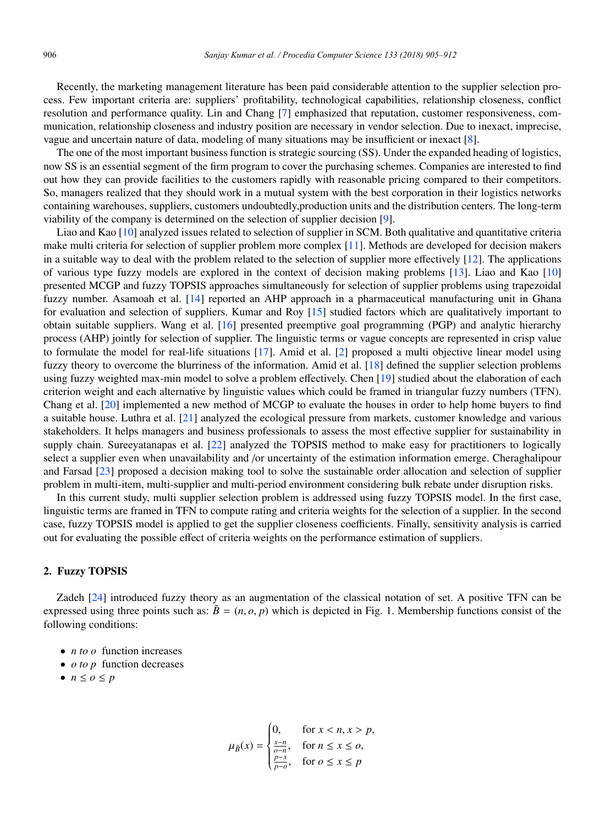Recently, the marketing management literature has been paid considerable attention to the supplier selection process. Few important criteria are: suppliers' profitability, technological capabilities, relationship closeness, conflict resolution and performance quality. Lin and Chang [7] emphasized that reputation, customer responsiveness, communication, relationship closeness and industry position are necessary in vendor selection. Due to inexact, imprecise, vague and uncertain nature of data, modeling of many situations may be insufficient or inexact [8].

The one of the most important business function is strategic sourcing (SS). Under the expanded heading of logistics, now SS is an essential segment of the firm program to cover the purchasing schemes. Companies are interested to find out how they can provide facilities to the customers rapidly with reasonable pricing compared to their competitors. So, managers realized that they should work in a mutual system with the best corporation in their logistics networks containing warehouses, suppliers, customers undoubtedly,production units and the distribution centers. The long-term viability of the company is determined on the selection of supplier decision [9].

Liao and Kao [10] analyzed issues related to selection of supplier in SCM. Both qualitative and quantitative criteria make multi criteria for selection of supplier problem more complex [11]. Methods are developed for decision makers in a suitable way to deal with the problem related to the selection of supplier more effectively  $[12]$ . The applications of various type fuzzy models are explored in the context of decision making problems [13]. Liao and Kao [10] presented MCGP and fuzzy TOPSIS approaches simultaneously for selection of supplier problems using trapezoidal fuzzy number. Asamoah et al. [14] reported an AHP approach in a pharmaceutical manufacturing unit in Ghana for evaluation and selection of suppliers. Kumar and Roy [15] studied factors which are qualitatively important to obtain suitable suppliers. Wang et al. [16] presented preemptive goal programming (PGP) and analytic hierarchy process (AHP) jointly for selection of supplier. The linguistic terms or vague concepts are represented in crisp value to formulate the model for real-life situations [17]. Amid et al. [2] proposed a multi objective linear model using fuzzy theory to overcome the blurriness of the information. Amid et al. [18] defined the supplier selection problems using fuzzy weighted max-min model to solve a problem effectively. Chen [19] studied about the elaboration of each criterion weight and each alternative by linguistic values which could be framed in triangular fuzzy numbers (TFN). Chang et al. [20] implemented a new method of MCGP to evaluate the houses in order to help home buyers to find a suitable house. Luthra et al. [21] analyzed the ecological pressure from markets, customer knowledge and various stakeholders. It helps managers and business professionals to assess the most effective supplier for sustainability in supply chain. Sureeyatanapas et al. [22] analyzed the TOPSIS method to make easy for practitioners to logically select a supplier even when unavailability and /or uncertainty of the estimation information emerge. Cheraghalipour and Farsad [23] proposed a decision making tool to solve the sustainable order allocation and selection of supplier problem in multi-item, multi-supplier and multi-period environment considering bulk rebate under disruption risks.

In this current study, multi supplier selection problem is addressed using fuzzy TOPSIS model. In the first case, linguistic terms are framed in TFN to compute rating and criteria weights for the selection of a supplier. In the second case, fuzzy TOPSIS model is applied to get the supplier closeness coefficients. Finally, sensitivity analysis is carried out for evaluating the possible effect of criteria weights on the performance estimation of suppliers.

## 2. Fuzzy TOPSIS

Zadeh [24] introduced fuzzy theory as an augmentation of the classical notation of set. A positive TFN can be expressed using three points such as:  $\tilde{B} = (n, o, p)$  which is depicted in Fig. 1. Membership functions consist of the following conditions:

- *n to o* function increases
- *o to p* function decreases
- $\bullet$  *n*  $\leq$  *o*  $\leq$  *p*

$$
\mu_{\tilde{B}}(x) = \begin{cases} 0, & \text{for } x < n, x > p, \\ \frac{x - n}{o - n}, & \text{for } n \le x \le o, \\ \frac{p - x}{p - o}, & \text{for } o \le x \le p \end{cases}
$$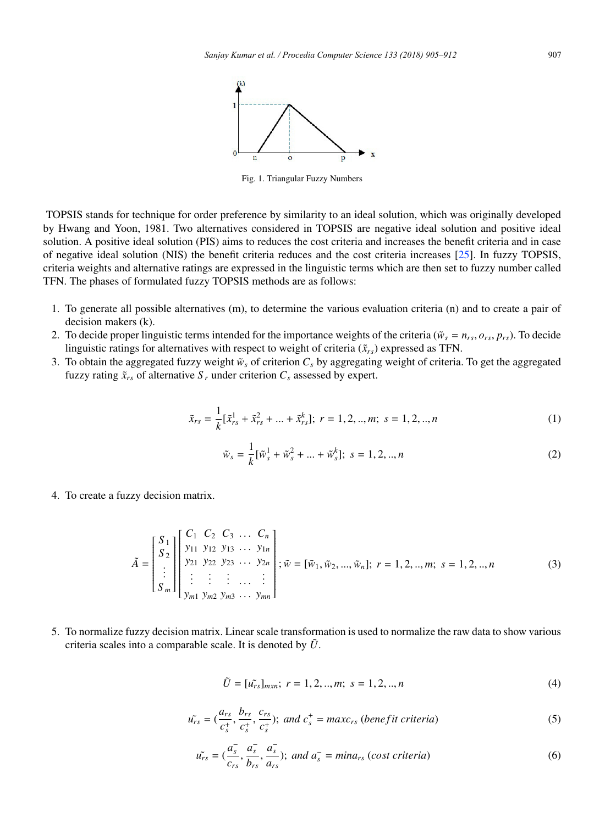

Fig. 1. Triangular Fuzzy Numbers

TOPSIS stands for technique for order preference by similarity to an ideal solution, which was originally developed by Hwang and Yoon, 1981. Two alternatives considered in TOPSIS are negative ideal solution and positive ideal solution. A positive ideal solution (PIS) aims to reduces the cost criteria and increases the benefit criteria and in case of negative ideal solution (NIS) the benefit criteria reduces and the cost criteria increases  $[25]$ . In fuzzy TOPSIS, criteria weights and alternative ratings are expressed in the linguistic terms which are then set to fuzzy number called TFN. The phases of formulated fuzzy TOPSIS methods are as follows:

- 1. To generate all possible alternatives (m), to determine the various evaluation criteria (n) and to create a pair of decision makers (k).
- 2. To decide proper linguistic terms intended for the importance weights of the criteria ( $\tilde{w}_s = n_{rs}$ ,  $o_{rs}$ ,  $p_{rs}$ ). To decide linguistic ratings for alternatives with respect to weight of criteria  $(\tilde{x}_{rs})$  expressed as TFN.
- 3. To obtain the aggregated fuzzy weight  $\tilde{w}_s$  of criterion  $C_s$  by aggregating weight of criteria. To get the aggregated fuzzy rating  $\tilde{x}_{rs}$  of alternative  $S_r$  under criterion  $C_s$  assessed by expert.

$$
\tilde{x}_{rs} = \frac{1}{k} [\tilde{x}_{rs}^1 + \tilde{x}_{rs}^2 + \dots + \tilde{x}_{rs}^k]; \ r = 1, 2, ..., m; \ s = 1, 2, ..., n
$$
\n(1)

$$
\tilde{w}_s = \frac{1}{k} [\tilde{w}_s^1 + \tilde{w}_s^2 + \dots + \tilde{w}_s^k]; \ s = 1, 2, ..., n
$$
 (2)

4. To create a fuzzy decision matrix.

$$
\tilde{A} = \begin{bmatrix} S_1 \\ S_2 \\ \vdots \\ S_m \end{bmatrix} \begin{bmatrix} C_1 & C_2 & C_3 & \dots & C_n \\ y_{11} & y_{12} & y_{13} & \dots & y_{1n} \\ y_{21} & y_{22} & y_{23} & \dots & y_{2n} \\ \vdots & \vdots & \vdots & \dots & \vdots \\ y_{m1} & y_{m2} & y_{m3} & \dots & y_{mn} \end{bmatrix}; \tilde{w} = [\tilde{w}_1, \tilde{w}_2, \dots, \tilde{w}_n]; \ r = 1, 2, \dots, m; \ s = 1, 2, \dots, n \tag{3}
$$

5. To normalize fuzzy decision matrix. Linear scale transformation is used to normalize the raw data to show various criteria scales into a comparable scale. It is denoted by  $\tilde{U}$ .

$$
\tilde{U} = [\tilde{u_{rs}}]_{mxn}; \ r = 1, 2, ..., m; \ s = 1, 2, ..., n
$$
\n(4)

$$
\tilde{u_{rs}} = (\frac{a_{rs}}{c_s^+}, \frac{b_{rs}}{c_s^+}, \frac{c_{rs}}{c_s^+}); \text{ and } c_s^+ = \max c_{rs} \text{ (benefit criteria)}
$$
\n
$$
\tag{5}
$$

$$
\tilde{u_{rs}} = (\frac{a_s^-,}{c_{rs}}, \frac{a_s^-,}{b_{rs}}, \frac{a_s^-,}{a_{rs}}); \text{ and } a_s^- = \text{min} a_{rs} \text{ (cost criteria)}
$$
\n
$$
\tag{6}
$$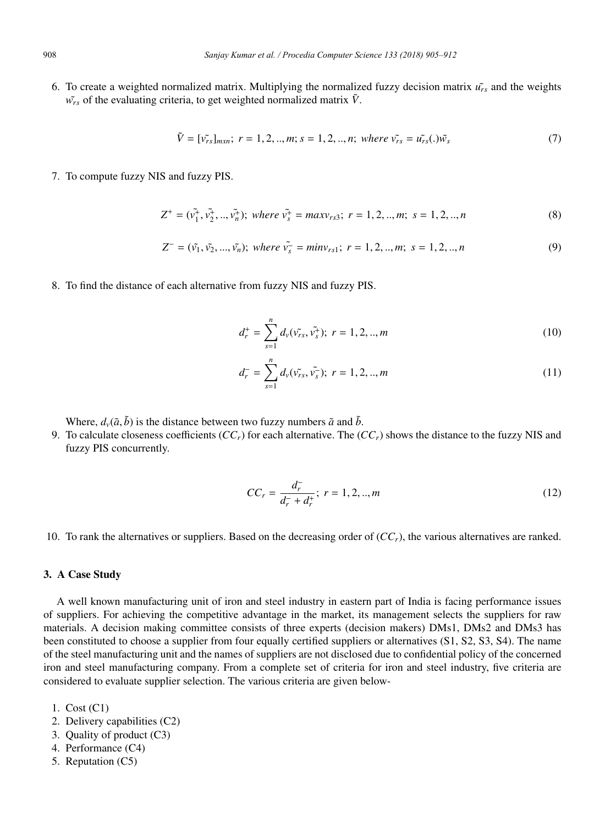6. To create a weighted normalized matrix. Multiplying the normalized fuzzy decision matrix  $\hat{u_r}$  and the weights  $\tilde{w_{rs}}$  of the evaluating criteria, to get weighted normalized matrix  $\tilde{V}$ .

$$
\tilde{V} = [\tilde{v_{rs}}]_{mxn}; \ r = 1, 2, ..., m; s = 1, 2, ..., n; \ where \ \tilde{v_{rs}} = \tilde{u_{rs}}(.)\tilde{w_s}
$$
\n(7)

7. To compute fuzzy NIS and fuzzy PIS.

$$
Z^{+} = (\tilde{v_1}^{+}, \tilde{v_2}^{+}, ..., \tilde{v_n}^{+}); where \tilde{v_s}^{+} = maxv_{rs3}; r = 1, 2, ..., m; s = 1, 2, ..., n
$$
\n(8)

$$
Z^{-} = (\tilde{v_1}, \tilde{v_2}, ..., \tilde{v_n}); \text{ where } \tilde{v_s} = \text{min} v_{rs1}; \ r = 1, 2, ..., m; \ s = 1, 2, ..., n \tag{9}
$$

8. To find the distance of each alternative from fuzzy NIS and fuzzy PIS.

$$
d_r^+ = \sum_{s=1}^n d_v(\tilde{v_{rs}}, \tilde{v_s^+}); \ r = 1, 2, ..., m
$$
 (10)

$$
d_r^- = \sum_{s=1}^n d_v(\tilde{v_{rs}}, \tilde{v_s}); \ r = 1, 2, ..., m
$$
 (11)

Where,  $d_{\nu}(\tilde{a}, \tilde{b})$  is the distance between two fuzzy numbers  $\tilde{a}$  and  $\tilde{b}$ .

9. To calculate closeness coefficients (*CCr*) for each alternative. The (*CCr*) shows the distance to the fuzzy NIS and fuzzy PIS concurrently.

$$
CC_r = \frac{d_r^+}{d_r^+ + d_r^+}; \ r = 1, 2, ..., m
$$
 (12)

10. To rank the alternatives or suppliers. Based on the decreasing order of  $(CC<sub>r</sub>)$ , the various alternatives are ranked.

## 3. A Case Study

A well known manufacturing unit of iron and steel industry in eastern part of India is facing performance issues of suppliers. For achieving the competitive advantage in the market, its management selects the suppliers for raw materials. A decision making committee consists of three experts (decision makers) DMs1, DMs2 and DMs3 has been constituted to choose a supplier from four equally certified suppliers or alternatives (S1, S2, S3, S4). The name of the steel manufacturing unit and the names of suppliers are not disclosed due to confidential policy of the concerned iron and steel manufacturing company. From a complete set of criteria for iron and steel industry, five criteria are considered to evaluate supplier selection. The various criteria are given below-

- 1. Cost (C1)
- 2. Delivery capabilities (C2)
- 3. Quality of product (C3)
- 4. Performance (C4)
- 5. Reputation (C5)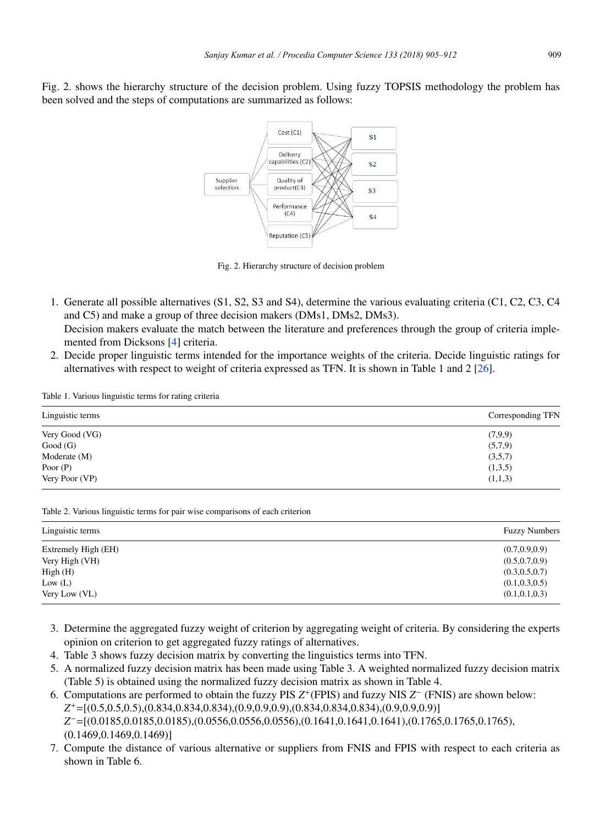Fig. 2. shows the hierarchy structure of the decision problem. Using fuzzy TOPSIS methodology the problem has been solved and the steps of computations are summarized as follows:



Fig. 2. Hierarchy structure of decision problem

- 1. Generate all possible alternatives (S1, S2, S3 and S4), determine the various evaluating criteria (C1, C2, C3, C4 and C5) and make a group of three decision makers (DMs1, DMs2, DMs3). Decision makers evaluate the match between the literature and preferences through the group of criteria implemented from Dicksons [4] criteria.
- 2. Decide proper linguistic terms intended for the importance weights of the criteria. Decide linguistic ratings for alternatives with respect to weight of criteria expressed as TFN. It is shown in Table 1 and 2 [26].

Table 1. Various linguistic terms for rating criteria

| Linguistic terms | Corresponding TFN |
|------------------|-------------------|
| Very Good (VG)   | (7,9,9)           |
| Good(G)          | (5,7,9)           |
| Moderate (M)     | (3,5,7)           |
| Poor $(P)$       | (1,3,5)           |
| Very Poor (VP)   | (1,1,3)           |

Table 2. Various linguistic terms for pair wise comparisons of each criterion

| Linguistic terms    | <b>Fuzzy Numbers</b> |
|---------------------|----------------------|
| Extremely High (EH) | (0.7, 0.9, 0.9)      |
| Very High (VH)      | (0.5, 0.7, 0.9)      |
| High(H)             | (0.3, 0.5, 0.7)      |
| Low (L)             | (0.1, 0.3, 0.5)      |
| Very Low (VL)       | (0.1, 0.1, 0.3)      |

- 3. Determine the aggregated fuzzy weight of criterion by aggregating weight of criteria. By considering the experts opinion on criterion to get aggregated fuzzy ratings of alternatives.
- 4. Table 3 shows fuzzy decision matrix by converting the linguistics terms into TFN.
- 5. A normalized fuzzy decision matrix has been made using Table 3. A weighted normalized fuzzy decision matrix (Table 5) is obtained using the normalized fuzzy decision matrix as shown in Table 4.
- 6. Computations are performed to obtain the fuzzy PIS *Z*<sup>+</sup>(FPIS) and fuzzy NIS *Z*<sup>−</sup> (FNIS) are shown below: *Z*+=[(0.5,0.5,0.5),(0.834,0.834,0.834),(0.9,0.9,0.9),(0.834,0.834,0.834),(0.9,0.9,0.9)] *Z*−=[(0.0185,0.0185,0.0185),(0.0556,0.0556,0.0556),(0.1641,0.1641,0.1641),(0.1765,0.1765,0.1765), (0.1469,0.1469,0.1469)]
- 7. Compute the distance of various alternative or suppliers from FNIS and FPIS with respect to each criteria as shown in Table 6.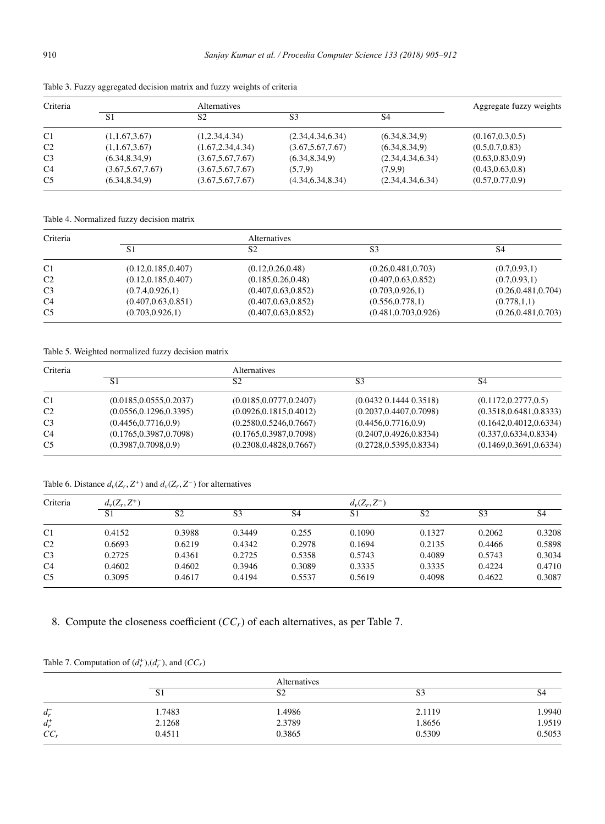| Criteria       |                    | Alternatives       |                    |                    | Aggregate fuzzy weights |
|----------------|--------------------|--------------------|--------------------|--------------------|-------------------------|
|                | S1                 | S2                 | S3                 | S4                 |                         |
| C <sub>1</sub> | (1,1.67,3.67)      | (1,2.34,4.34)      | (2.34, 4.34, 6.34) | (6.34, 8.34, 9)    | (0.167, 0.3, 0.5)       |
| C <sub>2</sub> | (1,1.67,3.67)      | (1.67, 2.34, 4.34) | (3.67, 5.67, 7.67) | (6.34, 8.34, 9)    | (0.5, 0.7, 0.83)        |
| C <sub>3</sub> | (6.34, 8.34, 9)    | (3.67, 5.67, 7.67) | (6.34, 8.34, 9)    | (2.34, 4.34, 6.34) | (0.63, 0.83, 0.9)       |
| C <sub>4</sub> | (3.67, 5.67, 7.67) | (3.67, 5.67, 7.67) | (5,7,9)            | (7.9.9)            | (0.43, 0.63, 0.8)       |
| C <sub>5</sub> | (6.34, 8.34, 9)    | (3.67, 5.67, 7.67) | (4.34, 6.34, 8.34) | (2.34, 4.34, 6.34) | (0.57, 0.77, 0.9)       |

Table 3. Fuzzy aggregated decision matrix and fuzzy weights of criteria

Table 4. Normalized fuzzy decision matrix

| Criteria       |                      | <b>Alternatives</b>  |                       |                      |  |  |  |
|----------------|----------------------|----------------------|-----------------------|----------------------|--|--|--|
|                | S <sub>1</sub>       | S2                   | S3                    | S4                   |  |  |  |
| C <sub>1</sub> | (0.12, 0.185, 0.407) | (0.12, 0.26, 0.48)   | (0.26, 0.481, 0.703)  | (0.7, 0.93, 1)       |  |  |  |
| C <sub>2</sub> | (0.12, 0.185, 0.407) | (0.185, 0.26, 0.48)  | (0.407, 0.63, 0.852)  | (0.7, 0.93, 1)       |  |  |  |
| C <sub>3</sub> | (0.7.4, 0.926, 1)    | (0.407, 0.63, 0.852) | (0.703, 0.926, 1)     | (0.26, 0.481, 0.704) |  |  |  |
| C <sub>4</sub> | (0.407, 0.63, 0.851) | (0.407, 0.63, 0.852) | (0.556, 0.778, 1)     | (0.778, 1.1)         |  |  |  |
| C <sub>5</sub> | (0.703, 0.926, 1)    | (0.407, 0.63, 0.852) | (0.481, 0.703, 0.926) | (0.26, 0.481, 0.703) |  |  |  |

Table 5. Weighted normalized fuzzy decision matrix

| Criteria       |                          | <b>Alternatives</b>      |                            |                          |  |  |
|----------------|--------------------------|--------------------------|----------------------------|--------------------------|--|--|
|                | S1                       | S2                       | S3                         | S4                       |  |  |
| C <sub>1</sub> | (0.0185, 0.0555, 0.2037) | (0.0185, 0.0777, 0.2407) | $(0.0432\ 0.1444\ 0.3518)$ | (0.1172, 0.2777, 0.5)    |  |  |
| C <sub>2</sub> | (0.0556, 0.1296, 0.3395) | (0.0926, 0.1815, 0.4012) | (0.2037, 0.4407, 0.7098)   | (0.3518, 0.6481, 0.8333) |  |  |
| C <sub>3</sub> | (0.4456, 0.7716, 0.9)    | (0.2580, 0.5246, 0.7667) | (0.4456, 0.7716, 0.9)      | (0.1642, 0.4012, 0.6334) |  |  |
| C <sub>4</sub> | (0.1765, 0.3987, 0.7098) | (0.1765, 0.3987, 0.7098) | (0.2407, 0.4926, 0.8334)   | (0.337, 0.6334, 0.8334)  |  |  |
| C <sub>5</sub> | (0.3987, 0.7098, 0.9)    | (0.2308, 0.4828, 0.7667) | (0.2728, 0.5395, 0.8334)   | (0.1469, 0.3691, 0.6334) |  |  |

Table 6. Distance  $d_v(Z_r, Z^+)$  and  $d_v(Z_r, Z^-)$  for alternatives

| Criteria       | $d_v(Z_r, Z^+)$ |                |                | $d_v(Z_r,Z^-)$ |        |                |                |                |
|----------------|-----------------|----------------|----------------|----------------|--------|----------------|----------------|----------------|
|                | S <sub>1</sub>  | S <sub>2</sub> | S <sub>3</sub> | S <sub>4</sub> | S1     | S <sub>2</sub> | S <sub>3</sub> | S <sub>4</sub> |
| C <sub>1</sub> | 0.4152          | 0.3988         | 0.3449         | 0.255          | 0.1090 | 0.1327         | 0.2062         | 0.3208         |
| C <sub>2</sub> | 0.6693          | 0.6219         | 0.4342         | 0.2978         | 0.1694 | 0.2135         | 0.4466         | 0.5898         |
| C <sub>3</sub> | 0.2725          | 0.4361         | 0.2725         | 0.5358         | 0.5743 | 0.4089         | 0.5743         | 0.3034         |
| C <sub>4</sub> | 0.4602          | 0.4602         | 0.3946         | 0.3089         | 0.3335 | 0.3335         | 0.4224         | 0.4710         |
| C <sub>5</sub> | 0.3095          | 0.4617         | 0.4194         | 0.5537         | 0.5619 | 0.4098         | 0.4622         | 0.3087         |

8. Compute the closeness coefficient (*CCr*) of each alternatives, as per Table 7.

|         |        | Alternatives   |        |        |
|---------|--------|----------------|--------|--------|
|         | SI.    | S <sub>2</sub> | S3     | 54     |
| $d_r^-$ | 1.7483 | 1.4986         | 2.1119 | 1.9940 |
| $d_r^+$ | 2.1268 | 2.3789         | 1.8656 | 1.9519 |
| $CC_r$  | 0.4511 | 0.3865         | 0.5309 | 0.5053 |

Table 7. Computation of  $(d_r^+), (d_r^-)$ , and  $(CC_r)$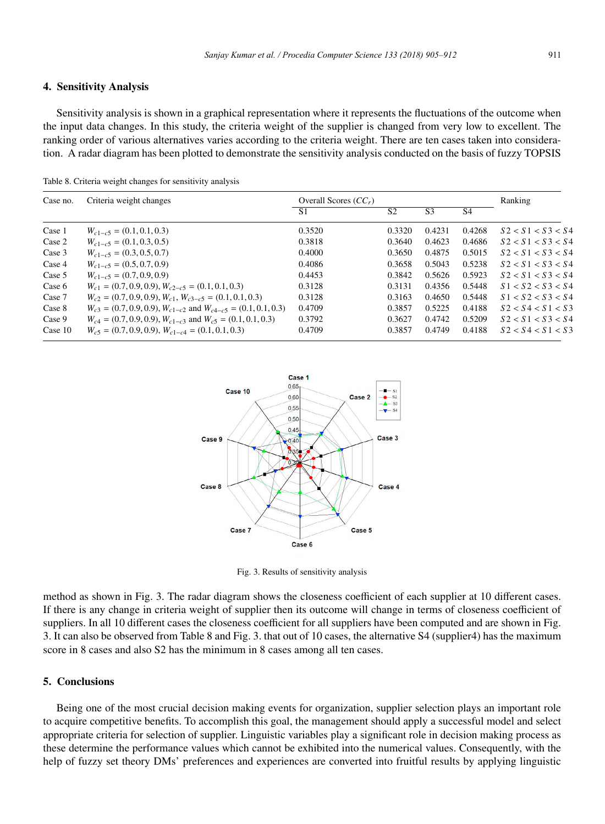#### 4. Sensitivity Analysis

Sensitivity analysis is shown in a graphical representation where it represents the fluctuations of the outcome when the input data changes. In this study, the criteria weight of the supplier is changed from very low to excellent. The ranking order of various alternatives varies according to the criteria weight. There are ten cases taken into consideration. A radar diagram has been plotted to demonstrate the sensitivity analysis conducted on the basis of fuzzy TOPSIS

Table 8. Criteria weight changes for sensitivity analysis

| Case no.  | Criteria weight changes                                                 | Overall Scores $(CC_r)$ |                |                |                | Ranking           |
|-----------|-------------------------------------------------------------------------|-------------------------|----------------|----------------|----------------|-------------------|
|           |                                                                         | S1                      | S <sub>2</sub> | S <sub>3</sub> | S <sub>4</sub> |                   |
| Case 1    | $W_{c1-c5} = (0.1, 0.1, 0.3)$                                           | 0.3520                  | 0.3320         | 0.4231         | 0.4268         | S2 < S1 < S3 < S4 |
| Case 2    | $W_{c1-c5} = (0.1, 0.3, 0.5)$                                           | 0.3818                  | 0.3640         | 0.4623         | 0.4686         | S2 < S1 < S3 < S4 |
| Case 3    | $W_{c1-c5} = (0.3, 0.5, 0.7)$                                           | 0.4000                  | 0.3650         | 0.4875         | 0.5015         | S2 < S1 < S3 < S4 |
| Case 4    | $W_{c1-c5} = (0.5, 0.7, 0.9)$                                           | 0.4086                  | 0.3658         | 0.5043         | 0.5238         | S2 < S1 < S3 < S4 |
| Case 5    | $W_{c1-c5} = (0.7, 0.9, 0.9)$                                           | 0.4453                  | 0.3842         | 0.5626         | 0.5923         | S2 < S1 < S3 < S4 |
| Case 6    | $W_{c1} = (0.7, 0.9, 0.9), W_{c2-c5} = (0.1, 0.1, 0.3)$                 | 0.3128                  | 0.3131         | 0.4356         | 0.5448         | S1 < S2 < S3 < S4 |
| Case 7    | $W_{c2} = (0.7, 0.9, 0.9), W_{c1}, W_{c3-c5} = (0.1, 0.1, 0.3)$         | 0.3128                  | 0.3163         | 0.4650         | 0.5448         | S1 < S2 < S3 < S4 |
| Case 8    | $W_{c3} = (0.7, 0.9, 0.9), W_{c1-c2}$ and $W_{c4-c5} = (0.1, 0.1, 0.3)$ | 0.4709                  | 0.3857         | 0.5225         | 0.4188         | S2 < S4 < S1 < S3 |
| Case 9    | $W_{c4} = (0.7, 0.9, 0.9), W_{c1-c3}$ and $W_{c5} = (0.1, 0.1, 0.3)$    | 0.3792                  | 0.3627         | 0.4742         | 0.5209         | S2 < S1 < S3 < S4 |
| Case $10$ | $W_{c5} = (0.7, 0.9, 0.9), W_{c1-c4} = (0.1, 0.1, 0.3)$                 | 0.4709                  | 0.3857         | 0.4749         | 0.4188         | S2 < S4 < S1 < S3 |



Fig. 3. Results of sensitivity analysis

method as shown in Fig. 3. The radar diagram shows the closeness coefficient of each supplier at 10 different cases. If there is any change in criteria weight of supplier then its outcome will change in terms of closeness coefficient of suppliers. In all 10 different cases the closeness coefficient for all suppliers have been computed and are shown in Fig. 3. It can also be observed from Table 8 and Fig. 3. that out of 10 cases, the alternative S4 (supplier4) has the maximum score in 8 cases and also S2 has the minimum in 8 cases among all ten cases.

#### 5. Conclusions

Being one of the most crucial decision making events for organization, supplier selection plays an important role to acquire competitive benefits. To accomplish this goal, the management should apply a successful model and select appropriate criteria for selection of supplier. Linguistic variables play a significant role in decision making process as these determine the performance values which cannot be exhibited into the numerical values. Consequently, with the help of fuzzy set theory DMs' preferences and experiences are converted into fruitful results by applying linguistic